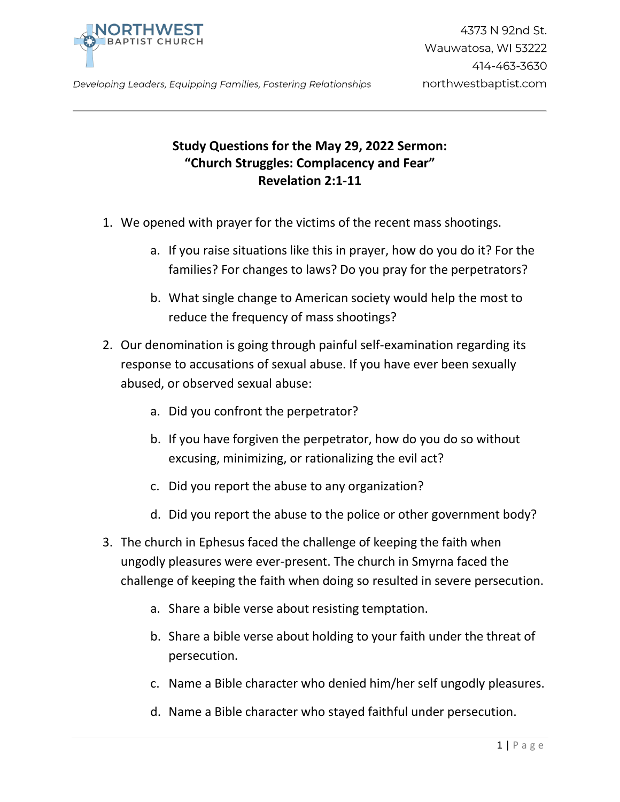

## **Study Questions for the May 29, 2022 Sermon: "Church Struggles: Complacency and Fear" Revelation 2:1-11**

- 1. We opened with prayer for the victims of the recent mass shootings.
	- a. If you raise situations like this in prayer, how do you do it? For the families? For changes to laws? Do you pray for the perpetrators?
	- b. What single change to American society would help the most to reduce the frequency of mass shootings?
- 2. Our denomination is going through painful self-examination regarding its response to accusations of sexual abuse. If you have ever been sexually abused, or observed sexual abuse:
	- a. Did you confront the perpetrator?
	- b. If you have forgiven the perpetrator, how do you do so without excusing, minimizing, or rationalizing the evil act?
	- c. Did you report the abuse to any organization?
	- d. Did you report the abuse to the police or other government body?
- 3. The church in Ephesus faced the challenge of keeping the faith when ungodly pleasures were ever-present. The church in Smyrna faced the challenge of keeping the faith when doing so resulted in severe persecution.
	- a. Share a bible verse about resisting temptation.
	- b. Share a bible verse about holding to your faith under the threat of persecution.
	- c. Name a Bible character who denied him/her self ungodly pleasures.
	- d. Name a Bible character who stayed faithful under persecution.